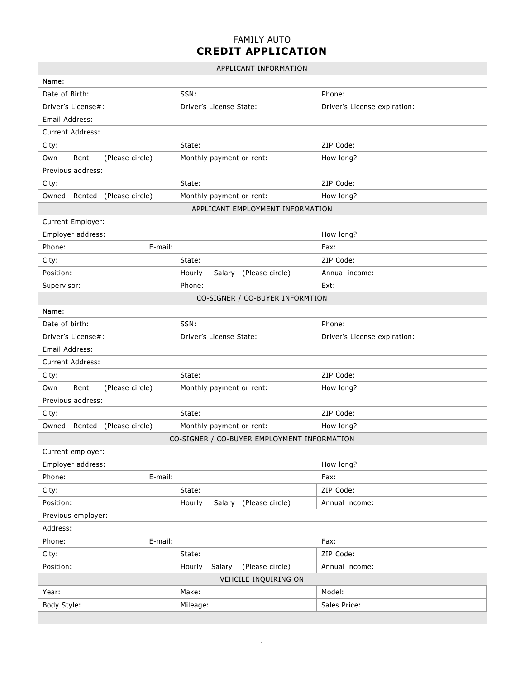## FAMILY AUTO **CREDIT APPLICATION**

| APPLICANT INFORMATION                       |         |                                     |                              |  |  |
|---------------------------------------------|---------|-------------------------------------|------------------------------|--|--|
| Name:                                       |         |                                     |                              |  |  |
| Date of Birth:                              |         | SSN:                                | Phone:                       |  |  |
| Driver's License#:                          |         | Driver's License State:             | Driver's License expiration: |  |  |
| Email Address:                              |         |                                     |                              |  |  |
| Current Address:                            |         |                                     |                              |  |  |
| City:                                       |         | State:                              | ZIP Code:                    |  |  |
| Own<br>Rent<br>(Please circle)              |         | Monthly payment or rent:            | How long?                    |  |  |
| Previous address:                           |         |                                     |                              |  |  |
| City:                                       |         | State:                              | ZIP Code:                    |  |  |
| Owned Rented (Please circle)                |         | Monthly payment or rent:            | How long?                    |  |  |
|                                             |         | APPLICANT EMPLOYMENT INFORMATION    |                              |  |  |
| Current Employer:                           |         |                                     |                              |  |  |
| Employer address:                           |         |                                     | How long?                    |  |  |
| Phone:                                      | E-mail: |                                     | Fax:                         |  |  |
| City:                                       |         | State:                              | ZIP Code:                    |  |  |
| Position:                                   |         | Salary (Please circle)<br>Hourly    | Annual income:               |  |  |
| Supervisor:                                 |         | Phone:                              | Ext:                         |  |  |
|                                             |         | CO-SIGNER / CO-BUYER INFORMTION     |                              |  |  |
| Name:                                       |         |                                     |                              |  |  |
| Date of birth:                              |         | SSN:                                | Phone:                       |  |  |
| Driver's License#:                          |         | Driver's License State:             | Driver's License expiration: |  |  |
| Email Address:                              |         |                                     |                              |  |  |
| <b>Current Address:</b>                     |         |                                     |                              |  |  |
| City:                                       |         | State:                              | ZIP Code:                    |  |  |
| (Please circle)<br>Own<br>Rent              |         | Monthly payment or rent:            | How long?                    |  |  |
| Previous address:                           |         |                                     |                              |  |  |
| City:                                       |         | State:                              | ZIP Code:                    |  |  |
| Rented<br>(Please circle)<br>Owned          |         | Monthly payment or rent:            | How long?                    |  |  |
| CO-SIGNER / CO-BUYER EMPLOYMENT INFORMATION |         |                                     |                              |  |  |
| Current employer:                           |         |                                     |                              |  |  |
| Employer address:                           |         |                                     | How long?                    |  |  |
| Phone:                                      | E-mail: |                                     | Fax:                         |  |  |
| City:                                       |         | State:                              | ZIP Code:                    |  |  |
| Position:                                   |         | Salary (Please circle)<br>Hourly    | Annual income:               |  |  |
| Previous employer:                          |         |                                     |                              |  |  |
| Address:                                    |         |                                     |                              |  |  |
| Phone:                                      | E-mail: |                                     | Fax:                         |  |  |
| City:                                       |         | State:                              | ZIP Code:                    |  |  |
| Position:                                   |         | (Please circle)<br>Hourly<br>Salary | Annual income:               |  |  |
| VEHCILE INQUIRING ON                        |         |                                     |                              |  |  |
| Year:                                       |         | Make:                               | Model:                       |  |  |
| Body Style:                                 |         | Mileage:                            | Sales Price:                 |  |  |
|                                             |         |                                     |                              |  |  |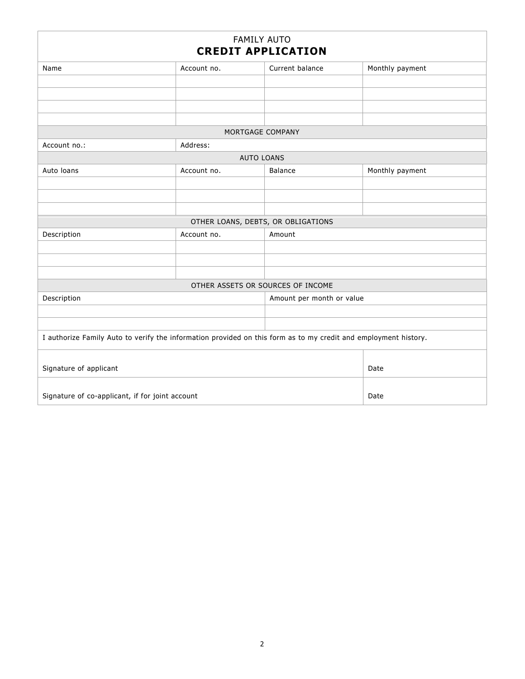| <b>FAMILY AUTO</b><br><b>CREDIT APPLICATION</b>                                                                 |                                    |                           |                 |  |  |  |
|-----------------------------------------------------------------------------------------------------------------|------------------------------------|---------------------------|-----------------|--|--|--|
| Name                                                                                                            | Account no.                        | Current balance           | Monthly payment |  |  |  |
|                                                                                                                 |                                    |                           |                 |  |  |  |
|                                                                                                                 |                                    |                           |                 |  |  |  |
|                                                                                                                 |                                    |                           |                 |  |  |  |
|                                                                                                                 |                                    |                           |                 |  |  |  |
| MORTGAGE COMPANY                                                                                                |                                    |                           |                 |  |  |  |
| Address:<br>Account no.:                                                                                        |                                    |                           |                 |  |  |  |
| <b>AUTO LOANS</b>                                                                                               |                                    |                           |                 |  |  |  |
| Auto loans                                                                                                      | Account no.                        | Balance                   | Monthly payment |  |  |  |
|                                                                                                                 |                                    |                           |                 |  |  |  |
|                                                                                                                 |                                    |                           |                 |  |  |  |
|                                                                                                                 |                                    |                           |                 |  |  |  |
|                                                                                                                 | OTHER LOANS, DEBTS, OR OBLIGATIONS |                           |                 |  |  |  |
| Description                                                                                                     | Account no.                        | Amount                    |                 |  |  |  |
|                                                                                                                 |                                    |                           |                 |  |  |  |
|                                                                                                                 |                                    |                           |                 |  |  |  |
|                                                                                                                 |                                    |                           |                 |  |  |  |
| OTHER ASSETS OR SOURCES OF INCOME                                                                               |                                    |                           |                 |  |  |  |
| Description                                                                                                     |                                    | Amount per month or value |                 |  |  |  |
|                                                                                                                 |                                    |                           |                 |  |  |  |
|                                                                                                                 |                                    |                           |                 |  |  |  |
| I authorize Family Auto to verify the information provided on this form as to my credit and employment history. |                                    |                           |                 |  |  |  |
|                                                                                                                 |                                    |                           |                 |  |  |  |
| Signature of applicant                                                                                          | Date                               |                           |                 |  |  |  |
|                                                                                                                 |                                    |                           |                 |  |  |  |
| Signature of co-applicant, if for joint account                                                                 | Date                               |                           |                 |  |  |  |